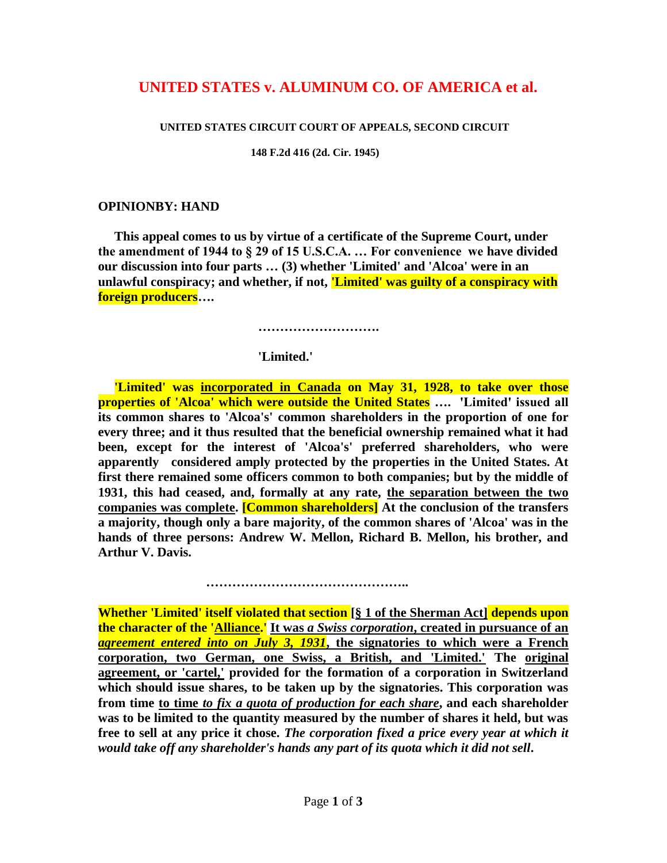# **UNITED STATES v. ALUMINUM CO. OF AMERICA et al.**

#### **UNITED STATES CIRCUIT COURT OF APPEALS, SECOND CIRCUIT**

 **148 F.2d 416 (2d. Cir. 1945)**

### **OPINIONBY: HAND**

 **This appeal comes to us by virtue of a certificate of the Supreme Court, under the amendment of 1944 to § 29 of 15 U.S.C.A. … For convenience we have divided our discussion into four parts … (3) whether 'Limited' and 'Alcoa' were in an unlawful conspiracy; and whether, if not, 'Limited' was guilty of a conspiracy with foreign producers….**

 **……………………….**

### **'Limited.'**

 **'Limited' was incorporated in Canada on May 31, 1928, to take over those properties of 'Alcoa' which were outside the United States …. 'Limited' issued all its common shares to 'Alcoa's' common shareholders in the proportion of one for every three; and it thus resulted that the beneficial ownership remained what it had been, except for the interest of 'Alcoa's' preferred shareholders, who were apparently considered amply protected by the properties in the United States. At first there remained some officers common to both companies; but by the middle of 1931, this had ceased, and, formally at any rate, the separation between the two companies was complete. [Common shareholders] At the conclusion of the transfers a majority, though only a bare majority, of the common shares of 'Alcoa' was in the hands of three persons: Andrew W. Mellon, Richard B. Mellon, his brother, and Arthur V. Davis.**

**Whether 'Limited' itself violated that section [§ 1 of the Sherman Act] depends upon the character of the 'Alliance.' It was** *a Swiss corporation***, created in pursuance of an**  *agreement entered into on July 3, 1931***, the signatories to which were a French corporation, two German, one Swiss, a British, and 'Limited.' The original agreement, or 'cartel,' provided for the formation of a corporation in Switzerland which should issue shares, to be taken up by the signatories. This corporation was from time to time** *to fix a quota of production for each share***, and each shareholder was to be limited to the quantity measured by the number of shares it held, but was free to sell at any price it chose.** *The corporation fixed a price every year at which it would take off any shareholder's hands any part of its quota which it did not sell***.** 

 **………………………………………..**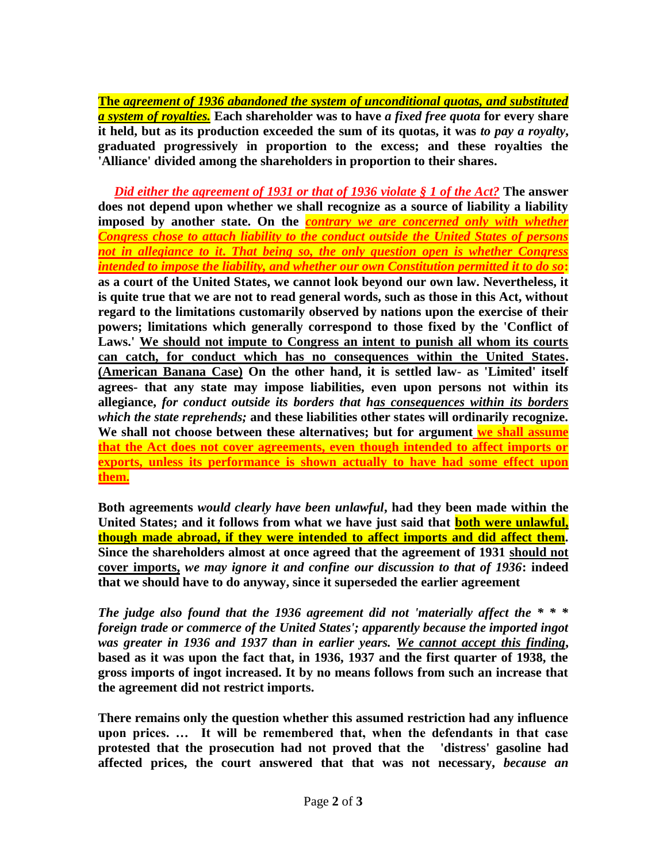**The** *agreement of 1936 abandoned the system of unconditional quotas, and substituted a system of royalties.* **Each shareholder was to have** *a fixed free quota* **for every share it held, but as its production exceeded the sum of its quotas, it was** *to pay a royalty***, graduated progressively in proportion to the excess; and these royalties the 'Alliance' divided among the shareholders in proportion to their shares.** 

*Did either the agreement of 1931 or that of 1936 violate § 1 of the Act?* **The answer does not depend upon whether we shall recognize as a source of liability a liability imposed by another state. On the** *contrary we are concerned only with whether Congress chose to attach liability to the conduct outside the United States of persons not in allegiance to it***.** *That being so, the only question open is whether Congress intended to impose the liability, and whether our own Constitution permitted it to do so***: as a court of the United States, we cannot look beyond our own law. Nevertheless, it is quite true that we are not to read general words, such as those in this Act, without regard to the limitations customarily observed by nations upon the exercise of their powers; limitations which generally correspond to those fixed by the 'Conflict of Laws.' We should not impute to Congress an intent to punish all whom its courts can catch, for conduct which has no consequences within the United States. (American Banana Case) On the other hand, it is settled law- as 'Limited' itself agrees- that any state may impose liabilities, even upon persons not within its allegiance,** *for conduct outside its borders that has consequences within its borders which the state reprehends;* **and these liabilities other states will ordinarily recognize. We shall not choose between these alternatives; but for argument we shall assume that the Act does not cover agreements, even though intended to affect imports or exports, unless its performance is shown actually to have had some effect upon them.**

**Both agreements** *would clearly have been unlawful***, had they been made within the United States; and it follows from what we have just said that both were unlawful, though made abroad, if they were intended to affect imports and did affect them. Since the shareholders almost at once agreed that the agreement of 1931 should not cover imports,** *we may ignore it and confine our discussion to that of 1936***: indeed that we should have to do anyway, since it superseded the earlier agreement**

*The judge also found that the 1936 agreement did not 'materially affect the \* \* \* foreign trade or commerce of the United States'; apparently because the imported ingot was greater in 1936 and 1937 than in earlier years. We cannot accept this finding***, based as it was upon the fact that, in 1936, 1937 and the first quarter of 1938, the gross imports of ingot increased. It by no means follows from such an increase that the agreement did not restrict imports.**

**There remains only the question whether this assumed restriction had any influence upon prices. … It will be remembered that, when the defendants in that case protested that the prosecution had not proved that the 'distress' gasoline had affected prices, the court answered that that was not necessary,** *because an*